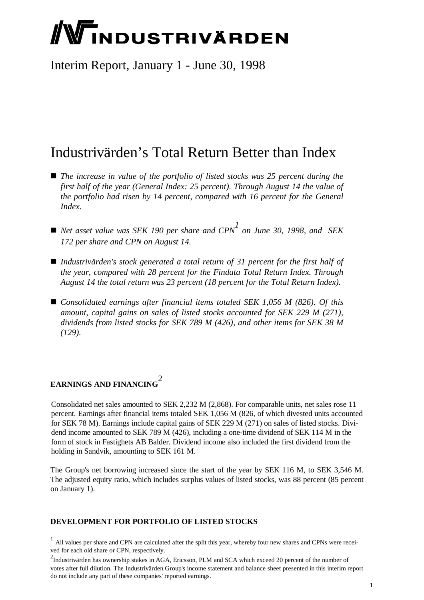# **/Windustrivärden**

Interim Report, January 1 - June 30, 1998

## Industrivärden's Total Return Better than Index

- *The increase in value of the portfolio of listed stocks was 25 percent during the first half of the year (General Index: 25 percent). Through August 14 the value of the portfolio had risen by 14 percent, compared with 16 percent for the General Index.*
- $\blacksquare$  *Net asset value was SEK 190 per share and CPN*<sup>1</sup> on June 30, 1998, and SEK *172 per share and CPN on August 14.*
- *Industrivärden's stock generated a total return of 31 percent for the first half of the year, compared with 28 percent for the Findata Total Return Index. Through August 14 the total return was 23 percent (18 percent for the Total Return Index).*
- *Consolidated earnings after financial items totaled SEK 1,056 M (826). Of this amount, capital gains on sales of listed stocks accounted for SEK 229 M (271), dividends from listed stocks for SEK 789 M (426), and other items for SEK 38 M (129).*

### **EARNINGS AND FINANCING** 2

l

Consolidated net sales amounted to SEK 2,232 M (2,868). For comparable units, net sales rose 11 percent. Earnings after financial items totaled SEK 1,056 M (826, of which divested units accounted for SEK 78 M). Earnings include capital gains of SEK 229 M (271) on sales of listed stocks. Dividend income amounted to SEK 789 M (426), including a one-time dividend of SEK 114 M in the form of stock in Fastighets AB Balder. Dividend income also included the first dividend from the holding in Sandvik, amounting to SEK 161 M.

The Group's net borrowing increased since the start of the year by SEK 116 M, to SEK 3,546 M. The adjusted equity ratio, which includes surplus values of listed stocks, was 88 percent (85 percent on January 1).

#### **DEVELOPMENT FOR PORTFOLIO OF LISTED STOCKS**

<sup>1</sup> All values per share and CPN are calculated after the split this year, whereby four new shares and CPNs were received for each old share or CPN, respectively.

<sup>&</sup>lt;sup>2</sup>Industrivärden has ownership stakes in AGA, Ericsson, PLM and SCA which exceed 20 percent of the number of votes after full dilution. The Industrivärden Group's income statement and balance sheet presented in this interim report do not include any part of these companies' reported earnings.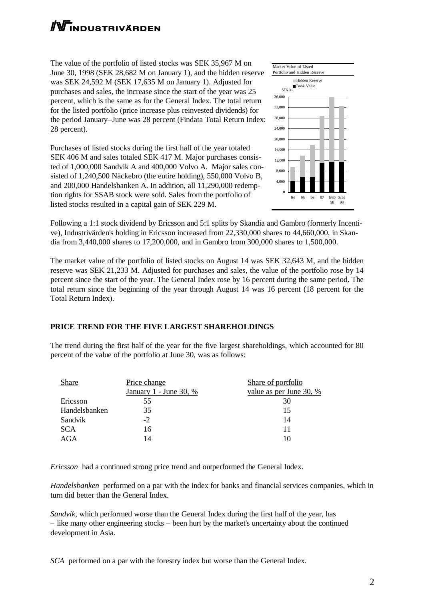# **WINDUSTRIVÄRDEN**

The value of the portfolio of listed stocks was SEK 35,967 M on June 30, 1998 (SEK 28,682 M on January 1), and the hidden reserve was SEK 24,592 M (SEK 17,635 M on January 1). Adjusted for purchases and sales, the increase since the start of the year was 25 percent, which is the same as for the General Index. The total return for the listed portfolio (price increase plus reinvested dividends) for the period January–June was 28 percent (Findata Total Return Index: 28 percent).

Purchases of listed stocks during the first half of the year totaled SEK 406 M and sales totaled SEK 417 M. Major purchases consisted of 1,000,000 Sandvik A and 400,000 Volvo A. Major sales consisted of 1,240,500 Näckebro (the entire holding), 550,000 Volvo B, and 200,000 Handelsbanken A. In addition, all 11,290,000 redemption rights for SSAB stock were sold. Sales from the portfolio of listed stocks resulted in a capital gain of SEK 229 M.



Following a 1:1 stock dividend by Ericsson and 5:1 splits by Skandia and Gambro (formerly Incentive), Industrivärden's holding in Ericsson increased from 22,330,000 shares to 44,660,000, in Skandia from 3,440,000 shares to 17,200,000, and in Gambro from 300,000 shares to 1,500,000.

The market value of the portfolio of listed stocks on August 14 was SEK 32,643 M, and the hidden reserve was SEK 21,233 M. Adjusted for purchases and sales, the value of the portfolio rose by 14 percent since the start of the year. The General Index rose by 16 percent during the same period. The total return since the beginning of the year through August 14 was 16 percent (18 percent for the Total Return Index).

#### **PRICE TREND FOR THE FIVE LARGEST SHAREHOLDINGS**

The trend during the first half of the year for the five largest shareholdings, which accounted for 80 percent of the value of the portfolio at June 30, was as follows:

| Share         | Price change           | Share of portfolio      |
|---------------|------------------------|-------------------------|
|               | January 1 - June 30, % | value as per June 30, % |
| Ericsson      | 55                     | 30                      |
| Handelsbanken | 35                     |                         |
| Sandvik       | $-2$                   | 14                      |
| <b>SCA</b>    | 16                     |                         |
| AGA           | 14                     |                         |
|               |                        |                         |

*Ericsson* had a continued strong price trend and outperformed the General Index.

*Handelsbanken* performed on a par with the index for banks and financial services companies, which in turn did better than the General Index.

*Sandvik*, which performed worse than the General Index during the first half of the year, has – like many other engineering stocks – been hurt by the market's uncertainty about the continued development in Asia.

*SCA* performed on a par with the forestry index but worse than the General Index.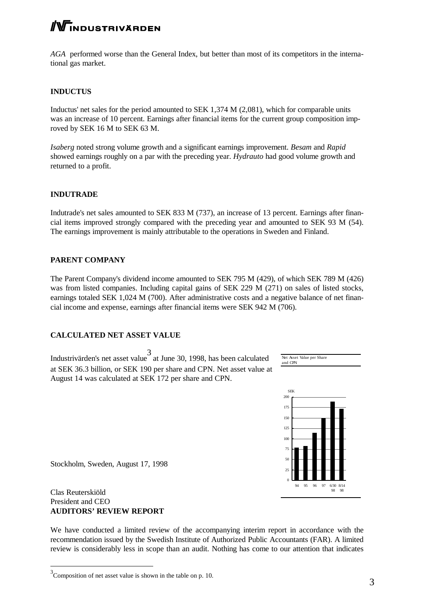## **WINDUSTRIVÄRDEN**

*AGA* performed worse than the General Index, but better than most of its competitors in the international gas market.

#### **INDUCTUS**

Inductus' net sales for the period amounted to SEK 1,374 M (2,081), which for comparable units was an increase of 10 percent. Earnings after financial items for the current group composition improved by SEK 16 M to SEK 63 M.

*Isaberg* noted strong volume growth and a significant earnings improvement. *Besam* and *Rapid* showed earnings roughly on a par with the preceding year. *Hydrauto* had good volume growth and returned to a profit.

#### **INDUTRADE**

Indutrade's net sales amounted to SEK 833 M (737), an increase of 13 percent. Earnings after financial items improved strongly compared with the preceding year and amounted to SEK 93 M (54). The earnings improvement is mainly attributable to the operations in Sweden and Finland.

#### **PARENT COMPANY**

The Parent Company's dividend income amounted to SEK 795 M (429), of which SEK 789 M (426) was from listed companies. Including capital gains of SEK 229 M (271) on sales of listed stocks, earnings totaled SEK 1,024 M (700). After administrative costs and a negative balance of net financial income and expense, earnings after financial items were SEK 942 M (706).

#### **CALCULATED NET ASSET VALUE**

Industrivärden's net asset value 3 at June 30, 1998, has been calculated at SEK 36.3 billion, or SEK 190 per share and CPN. Net asset value at August 14 was calculated at SEK 172 per share and CPN.





Stockholm, Sweden, August 17, 1998

#### Clas Reuterskiöld President and CEO **AUDITORS' REVIEW REPORT**

l

We have conducted a limited review of the accompanying interim report in accordance with the recommendation issued by the Swedish Institute of Authorized Public Accountants (FAR). A limited review is considerably less in scope than an audit. Nothing has come to our attention that indicates

 $3^3$ Composition of net asset value is shown in the table on p. 10.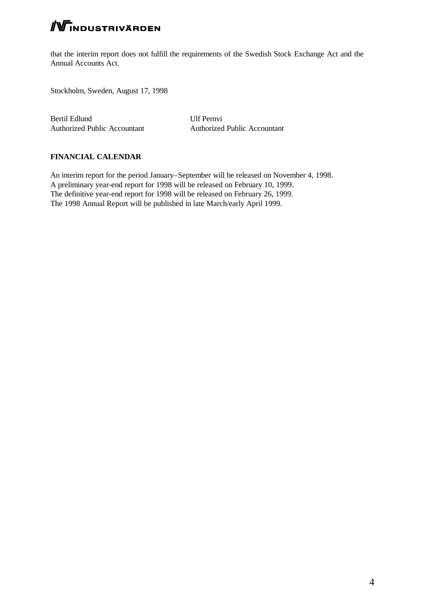## **NTINDUSTRIVÄRDEN**

that the interim report does not fulfill the requirements of the Swedish Stock Exchange Act and the Annual Accounts Act.

Stockholm, Sweden, August 17, 1998

Bertil Edlund Ulf Pernvi Authorized Public Accountant Authorized Public Accountant

#### **FINANCIAL CALENDAR**

An interim report for the period January–September will be released on November 4, 1998. A preliminary year-end report for 1998 will be released on February 10, 1999. The definitive year-end report for 1998 will be released on February 26, 1999. The 1998 Annual Report will be published in late March/early April 1999.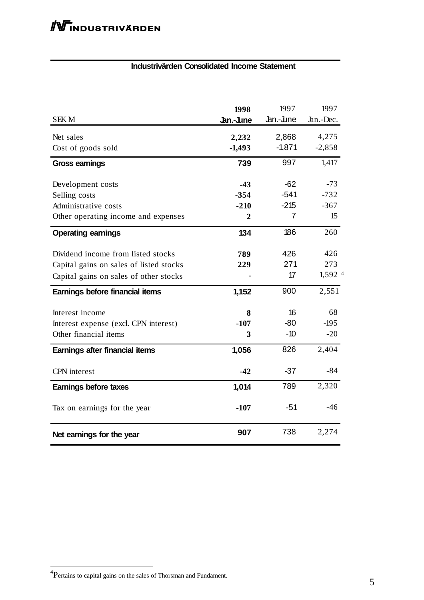#### **Industrivärden Consolidated Income Statement**

|                                         | 1998      | 1997      | 1997                 |
|-----------------------------------------|-----------|-----------|----------------------|
| <b>SEKM</b>                             | Jan.-June | Jan.-June | Jan.-Dec.            |
| Net sales                               | 2,232     | 2,868     | 4,275                |
| Cost of goods sold                      | $-1,493$  | $-1,871$  | $-2,858$             |
| <b>Gross earnings</b>                   | 739       | 997       | 1,417                |
| Development costs                       | $-43$     | $-62$     | $-73$                |
| Selling costs                           | $-354$    | $-541$    | $-732$               |
| Administrative costs                    | $-210$    | $-215$    | $-367$               |
| Other operating income and expenses     | 2         | 7         | 15                   |
| <b>Operating earnings</b>               | 134       | 186       | 260                  |
| Dividend income from listed stocks      | 789       | 426       | 426                  |
| Capital gains on sales of listed stocks | 229       | 271       | 273                  |
| Capital gains on sales of other stocks  |           | 17        | $1,592$ <sup>4</sup> |
| Earnings before financial items         | 1,152     | 900       | 2,551                |
| Interest income                         | 8         | 16        | 68                   |
| Interest expense (excl. CPN interest)   | $-107$    | $-80$     | $-195$               |
| Other financial items                   | 3         | $-10$     | $-20$                |
| Earnings after financial items          | 1,056     | 826       | 2,404                |
| CPN interest                            | $-42$     | $-37$     | $-84$                |
| Earnings before taxes                   | 1,014     | 789       | 2,320                |
| Tax on earnings for the year            | $-107$    | -51       | $-46$                |
| Net earnings for the year               | 907       | 738       | 2,274                |

 $\overline{\phantom{a}}$ 

 4 Pertains to capital gains on the sales of Thorsman and Fundament.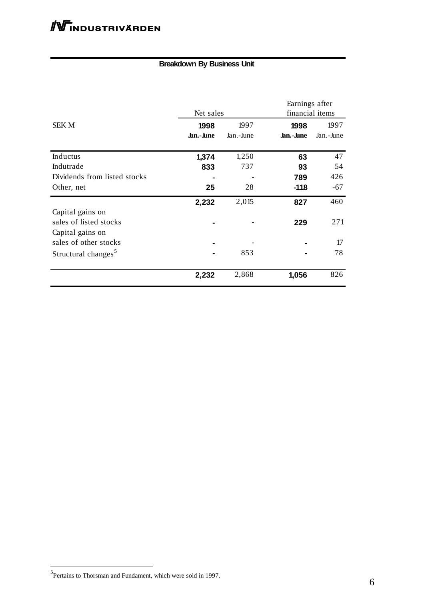#### **Breakdown By Business Unit**

|                                                                | Net sales         |                   | Earnings after<br>financial items |                   |  |
|----------------------------------------------------------------|-------------------|-------------------|-----------------------------------|-------------------|--|
| <b>SEK M</b>                                                   | 1998<br>Jan.-June | 1997<br>Jan.-June | 1998<br>Jan.-June                 | 1997<br>Jan.-June |  |
| Inductus                                                       | 1,374             | 1,250             | 63                                | 47                |  |
| Indutrade                                                      | 833               | 737               | 93                                | 54                |  |
| Dividends from listed stocks                                   |                   |                   | 789                               | 426               |  |
| Other, net                                                     | 25                | 28                | $-118$                            | $-67$             |  |
|                                                                | 2,232             | 2,015             | 827                               | 460               |  |
| Capital gains on<br>sales of listed stocks<br>Capital gains on |                   |                   | 229                               | 271               |  |
| sales of other stocks                                          |                   |                   |                                   | 17                |  |
| Structural changes <sup>5</sup>                                |                   | 853               |                                   | 78                |  |
|                                                                | 2,232             | 2,868             | 1,056                             | 826               |  |

 5 Pertains to Thorsman and Fundament, which were sold in 1997.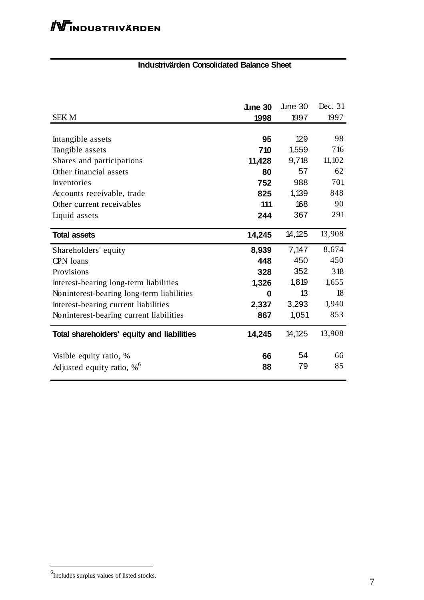#### **Industrivärden Consolidated Balance Sheet**

| <b>SEKM</b>                                | <b>June 30</b><br>1998 | $\mu$ ne 30<br>1997 | Dec. 31<br>1997 |
|--------------------------------------------|------------------------|---------------------|-----------------|
|                                            |                        |                     |                 |
| Intangible assets                          | 95                     | 129                 | 98              |
| Tangible assets                            | 710                    | 1,559               | 716             |
| Shares and participations                  | 11,428                 | 9,718               | 11,102          |
| Other financial assets                     | 80                     | 57                  | 62              |
| Inventories                                | 752                    | 988                 | 701             |
| Accounts receivable, trade                 | 825                    | 1,139               | 848             |
| Other current receivables                  | 111                    | 168                 | 90              |
| Liquid assets                              | 244                    | 367                 | 291             |
| <b>Total assets</b>                        | 14,245                 | 14,125              | 13,908          |
| Shareholders' equity                       | 8,939                  | 7,147               | 8,674           |
| CPN loans                                  | 448                    | 450                 | 450             |
| Provisions                                 | 328                    | 352                 | 318             |
| Interest-bearing long-term liabilities     | 1,326                  | 1,819               | 1,655           |
| Noninterest-bearing long-term liabilities  | 0                      | 13                  | 18              |
| Interest-bearing current liabilities       | 2,337                  | 3,293               | 1,940           |
| Noninterest-bearing current liabilities    | 867                    | 1,051               | 853             |
| Total shareholders' equity and liabilities | 14,245                 | 14,125              | 13,908          |
| Visible equity ratio, %                    | 66                     | 54                  | 66              |
| Adjusted equity ratio, $\%$ <sup>6</sup>   | 88                     | 79                  | 85              |

 $\overline{a}$ 

 6 Includes surplus values of listed stocks.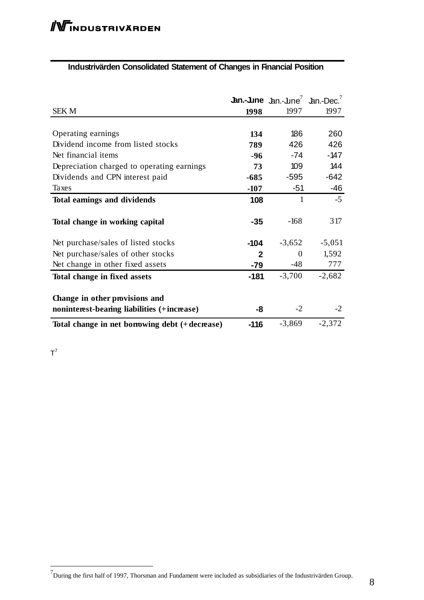#### **Industrivärden Consolidated Statement of Changes in Financial Position**

| <b>SEK M</b>                                                                  | 1998         | <b>Jan.-June</b> $\text{Jan.-Line}^7$ $\text{Jan.-Dec.}^7$<br>1997 | 1997     |
|-------------------------------------------------------------------------------|--------------|--------------------------------------------------------------------|----------|
|                                                                               |              |                                                                    |          |
| Operating earnings                                                            | 134          | 186                                                                | 260      |
| Dividend income from listed stocks                                            | 789          | 426                                                                | 426      |
| Net financial items                                                           | -96          | -74                                                                | $-147$   |
| Depreciation charged to operating earnings                                    | 73           | 109                                                                | 144      |
| Dividends and CPN interest paid                                               | $-685$       | -595                                                               | $-642$   |
| Taxes                                                                         | $-107$       | $-51$                                                              | $-46$    |
| Total earnings and dividends                                                  | 108          | 1                                                                  | $-5$     |
| Total change in working capital                                               | $-35$        | $-168$                                                             | 317      |
| Net purchase/sales of listed stocks                                           | $-104$       | $-3,652$                                                           | $-5,051$ |
| Net purchase/sales of other stocks                                            | $\mathbf{2}$ | $\Omega$                                                           | 1,592    |
| Net change in other fixed assets                                              | -79          | -48                                                                | 777      |
| Total change in fixed assets                                                  | $-181$       | $-3,700$                                                           | $-2,682$ |
| Change in other provisions and<br>noninterest-bearing liabilities (+increase) | -8           | $-2$                                                               | $-2$     |
| Total change in net borrowing debt (+decrease)                                | $-116$       | $-3,869$                                                           | $-2,372$ |

 $T^7$ 

<sup>&</sup>lt;sup>7</sup><br><sup>7</sup>During the first half of 1997, Thorsman and Fundament were included as subsidiaries of the Industrivärden Group.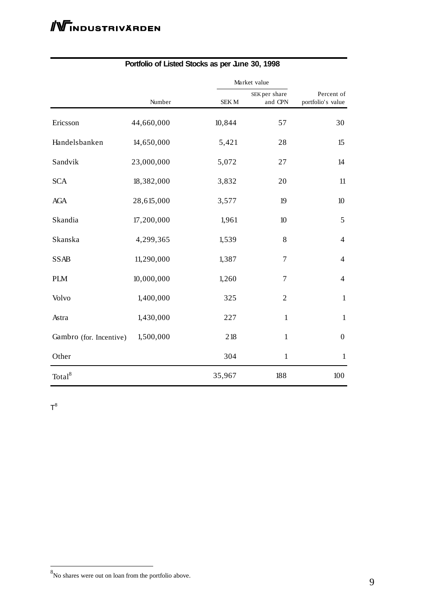|                         |            |             | Market value             |                                 |  |
|-------------------------|------------|-------------|--------------------------|---------------------------------|--|
|                         | Number     | <b>SEKM</b> | SEK per share<br>and CPN | Percent of<br>portfolio's value |  |
| Ericsson                | 44,660,000 | 10,844      | 57                       | 30                              |  |
| Handelsbanken           | 14,650,000 | 5,421       | 28                       | 15                              |  |
| Sandvik                 | 23,000,000 | 5,072       | 27                       | 14                              |  |
| <b>SCA</b>              | 18,382,000 | 3,832       | 20                       | 11                              |  |
| <b>AGA</b>              | 28,615,000 | 3,577       | 19                       | 10                              |  |
| Skandia                 | 17,200,000 | 1,961       | 10                       | $\mathfrak{S}$                  |  |
| Skanska                 | 4,299,365  | 1,539       | 8                        | $\overline{4}$                  |  |
| <b>SSAB</b>             | 11,290,000 | 1,387       | $\tau$                   | $\overline{4}$                  |  |
| <b>PLM</b>              | 10,000,000 | 1,260       | $\overline{7}$           | $\overline{4}$                  |  |
| Volvo                   | 1,400,000  | 325         | $\overline{2}$           | $\mathbf{1}$                    |  |
| Astra                   | 1,430,000  | 227         | $\mathbf{1}$             | $\mathbf{1}$                    |  |
| Gambro (for. Incentive) | 1,500,000  | 218         | 1                        | $\boldsymbol{0}$                |  |
| Other                   |            | 304         | $\mathbf{1}$             | $\mathbf{1}$                    |  |
| $\text{Total}^8$        |            | 35,967      | 188                      | 100                             |  |

#### **Portfolio of Listed Stocks as per June 30, 1998**

 $T^8$ 

<sup>8&</sup>lt;br>No shares were out on loan from the portfolio above.